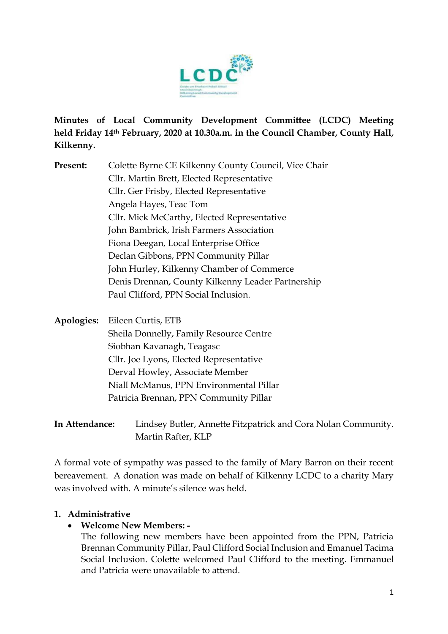

**Minutes of Local Community Development Committee (LCDC) Meeting held Friday 14th February, 2020 at 10.30a.m. in the Council Chamber, County Hall, Kilkenny.** 

- **Present:** Colette Byrne CE Kilkenny County Council, Vice Chair Cllr. Martin Brett, Elected Representative Cllr. Ger Frisby, Elected Representative Angela Hayes, Teac Tom Cllr. Mick McCarthy, Elected Representative John Bambrick, Irish Farmers Association Fiona Deegan, Local Enterprise Office Declan Gibbons, PPN Community Pillar John Hurley, Kilkenny Chamber of Commerce Denis Drennan, County Kilkenny Leader Partnership Paul Clifford, PPN Social Inclusion.
- **Apologies:** Eileen Curtis, ETB Sheila Donnelly, Family Resource Centre Siobhan Kavanagh, Teagasc Cllr. Joe Lyons, Elected Representative Derval Howley, Associate Member Niall McManus, PPN Environmental Pillar Patricia Brennan, PPN Community Pillar
- **In Attendance:** Lindsey Butler, Annette Fitzpatrick and Cora Nolan Community. Martin Rafter, KLP

A formal vote of sympathy was passed to the family of Mary Barron on their recent bereavement. A donation was made on behalf of Kilkenny LCDC to a charity Mary was involved with. A minute's silence was held.

### **1. Administrative**

• **Welcome New Members: -**

The following new members have been appointed from the PPN, Patricia Brennan Community Pillar, Paul Clifford Social Inclusion and Emanuel Tacima Social Inclusion. Colette welcomed Paul Clifford to the meeting. Emmanuel and Patricia were unavailable to attend.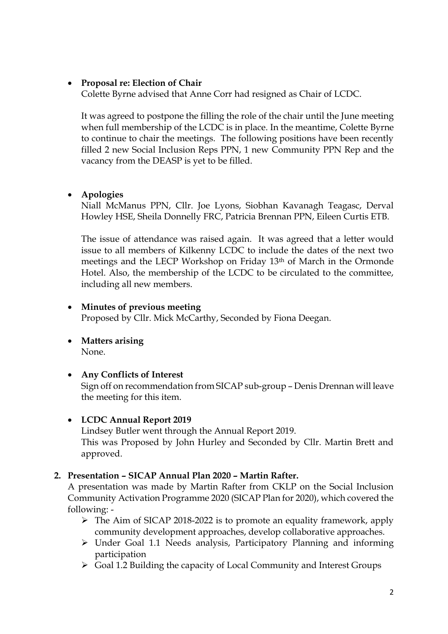### • **Proposal re: Election of Chair**

Colette Byrne advised that Anne Corr had resigned as Chair of LCDC.

It was agreed to postpone the filling the role of the chair until the June meeting when full membership of the LCDC is in place. In the meantime, Colette Byrne to continue to chair the meetings. The following positions have been recently filled 2 new Social Inclusion Reps PPN, 1 new Community PPN Rep and the vacancy from the DEASP is yet to be filled.

#### • **Apologies**

Niall McManus PPN, Cllr. Joe Lyons, Siobhan Kavanagh Teagasc, Derval Howley HSE, Sheila Donnelly FRC, Patricia Brennan PPN, Eileen Curtis ETB.

The issue of attendance was raised again. It was agreed that a letter would issue to all members of Kilkenny LCDC to include the dates of the next two meetings and the LECP Workshop on Friday 13th of March in the Ormonde Hotel. Also, the membership of the LCDC to be circulated to the committee, including all new members.

#### • **Minutes of previous meeting**

Proposed by Cllr. Mick McCarthy, Seconded by Fiona Deegan.

• **Matters arising** None.

#### • **Any Conflicts of Interest**

Sign off on recommendation from SICAP sub-group – Denis Drennan will leave the meeting for this item.

#### • **LCDC Annual Report 2019**

Lindsey Butler went through the Annual Report 2019. This was Proposed by John Hurley and Seconded by Cllr. Martin Brett and approved.

#### **2. Presentation – SICAP Annual Plan 2020 – Martin Rafter.**

A presentation was made by Martin Rafter from CKLP on the Social Inclusion Community Activation Programme 2020 (SICAP Plan for 2020), which covered the following: -

- ➢ The Aim of SICAP 2018-2022 is to promote an equality framework, apply community development approaches, develop collaborative approaches.
- ➢ Under Goal 1.1 Needs analysis, Participatory Planning and informing participation
- ➢ Goal 1.2 Building the capacity of Local Community and Interest Groups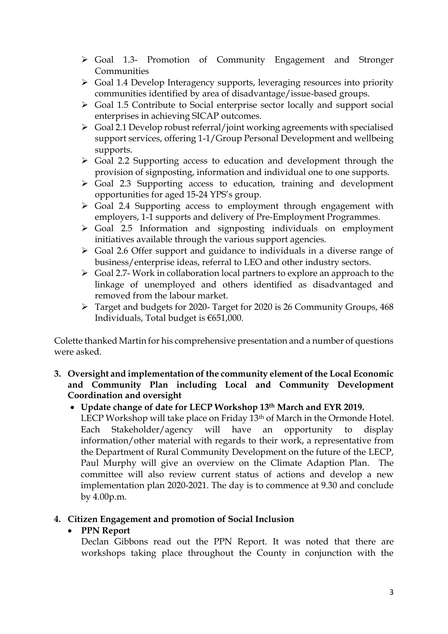- ➢ Goal 1.3- Promotion of Community Engagement and Stronger Communities
- ➢ Goal 1.4 Develop Interagency supports, leveraging resources into priority communities identified by area of disadvantage/issue-based groups.
- ➢ Goal 1.5 Contribute to Social enterprise sector locally and support social enterprises in achieving SICAP outcomes.
- ➢ Goal 2.1 Develop robust referral/joint working agreements with specialised support services, offering 1-1/Group Personal Development and wellbeing supports.
- ➢ Goal 2.2 Supporting access to education and development through the provision of signposting, information and individual one to one supports.
- ➢ Goal 2.3 Supporting access to education, training and development opportunities for aged 15-24 YPS's group.
- ➢ Goal 2.4 Supporting access to employment through engagement with employers, 1-1 supports and delivery of Pre-Employment Programmes.
- ➢ Goal 2.5 Information and signposting individuals on employment initiatives available through the various support agencies.
- ➢ Goal 2.6 Offer support and guidance to individuals in a diverse range of business/enterprise ideas, referral to LEO and other industry sectors.
- ➢ Goal 2.7- Work in collaboration local partners to explore an approach to the linkage of unemployed and others identified as disadvantaged and removed from the labour market.
- ➢ Target and budgets for 2020- Target for 2020 is 26 Community Groups, 468 Individuals, Total budget is €651,000.

Colette thanked Martin for his comprehensive presentation and a number of questions were asked.

- **3. Oversight and implementation of the community element of the Local Economic and Community Plan including Local and Community Development Coordination and oversight** 
	- **Update change of date for LECP Workshop 13th March and EYR 2019.**

LECP Workshop will take place on Friday 13<sup>th</sup> of March in the Ormonde Hotel. Each Stakeholder/agency will have an opportunity to display information/other material with regards to their work, a representative from the Department of Rural Community Development on the future of the LECP, Paul Murphy will give an overview on the Climate Adaption Plan. The committee will also review current status of actions and develop a new implementation plan 2020-2021. The day is to commence at 9.30 and conclude by 4.00p.m.

### **4. Citizen Engagement and promotion of Social Inclusion**

### • **PPN Report**

Declan Gibbons read out the PPN Report. It was noted that there are workshops taking place throughout the County in conjunction with the